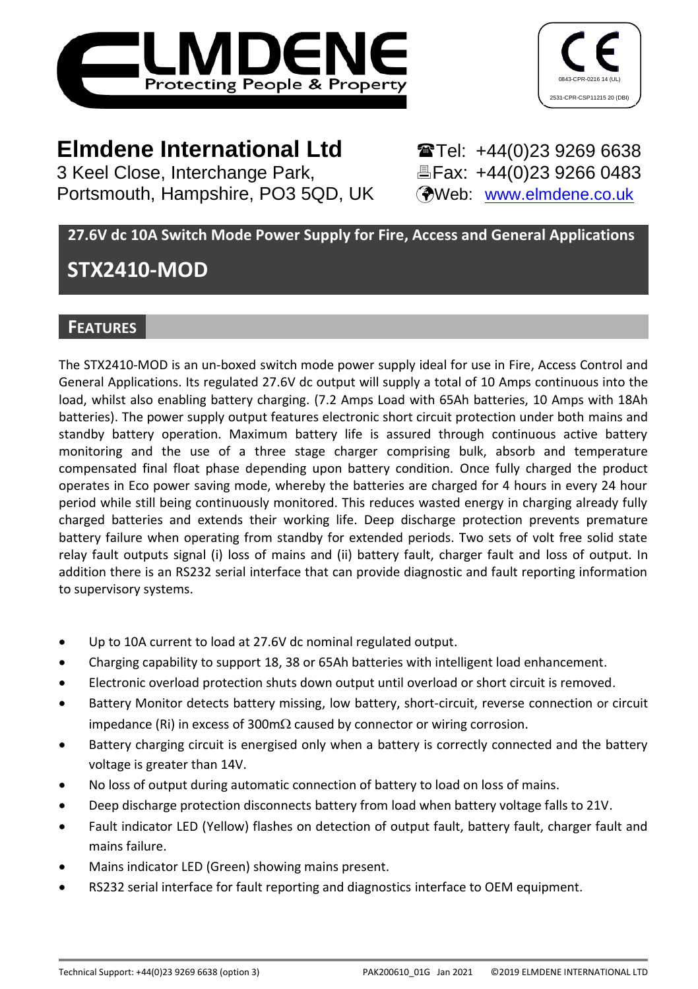



3 Keel Close, Interchange Park, Portsmouth, Hampshire, PO3 5QD, UK (Web: [www.elmdene.co.uk](http://www.elmdene.co.uk/))

**Elmdene International Ltd** <br>3 Keel Close, Interchange Park, <br>**Elected:** EFax: +44(0)23 9266 0483

# **27.6V dc 10A Switch Mode Power Supply for Fire, Access and General Applications**

# **STX2410-MOD**

# **FEATURES**

The STX2410-MOD is an un-boxed switch mode power supply ideal for use in Fire, Access Control and General Applications. Its regulated 27.6V dc output will supply a total of 10 Amps continuous into the load, whilst also enabling battery charging. (7.2 Amps Load with 65Ah batteries, 10 Amps with 18Ah batteries). The power supply output features electronic short circuit protection under both mains and standby battery operation. Maximum battery life is assured through continuous active battery monitoring and the use of a three stage charger comprising bulk, absorb and temperature compensated final float phase depending upon battery condition. Once fully charged the product operates in Eco power saving mode, whereby the batteries are charged for 4 hours in every 24 hour period while still being continuously monitored. This reduces wasted energy in charging already fully charged batteries and extends their working life. Deep discharge protection prevents premature battery failure when operating from standby for extended periods. Two sets of volt free solid state relay fault outputs signal (i) loss of mains and (ii) battery fault, charger fault and loss of output. In addition there is an RS232 serial interface that can provide diagnostic and fault reporting information to supervisory systems.

- Up to 10A current to load at 27.6V dc nominal regulated output.
- Charging capability to support 18, 38 or 65Ah batteries with intelligent load enhancement.
- Electronic overload protection shuts down output until overload or short circuit is removed.
- Battery Monitor detects battery missing, low battery, short-circuit, reverse connection or circuit impedance (Ri) in excess of 300m $\Omega$  caused by connector or wiring corrosion.
- Battery charging circuit is energised only when a battery is correctly connected and the battery voltage is greater than 14V.
- No loss of output during automatic connection of battery to load on loss of mains.
- Deep discharge protection disconnects battery from load when battery voltage falls to 21V.
- Fault indicator LED (Yellow) flashes on detection of output fault, battery fault, charger fault and mains failure.
- Mains indicator LED (Green) showing mains present.
- RS232 serial interface for fault reporting and diagnostics interface to OEM equipment.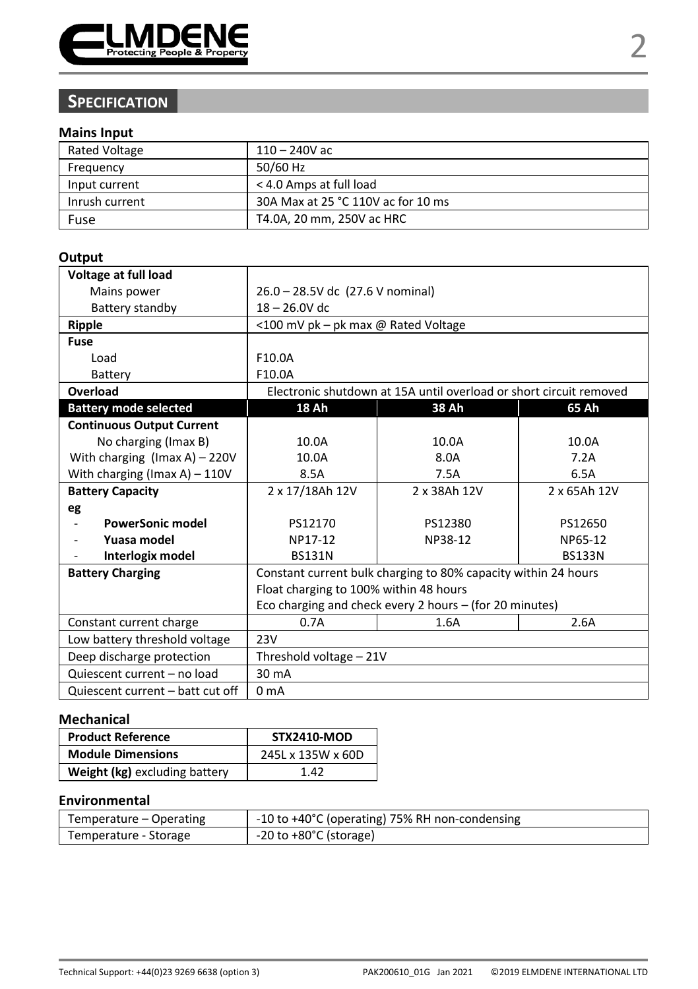

# **SPECIFICATION**

#### **Mains Input**

| <b>Rated Voltage</b> | $110 - 240V$ ac                    |
|----------------------|------------------------------------|
| Frequency            | 50/60 Hz                           |
| Input current        | < 4.0 Amps at full load            |
| Inrush current       | 30A Max at 25 °C 110V ac for 10 ms |
| Fuse                 | T4.0A. 20 mm. 250V ac HRC          |

### **Output**

| Voltage at full load                |                                                                |                                                                    |               |  |
|-------------------------------------|----------------------------------------------------------------|--------------------------------------------------------------------|---------------|--|
| Mains power                         | 26.0 - 28.5V dc (27.6 V nominal)                               |                                                                    |               |  |
| Battery standby                     | $18 - 26.0V$ dc                                                |                                                                    |               |  |
| Ripple                              | <100 mV pk - pk max @ Rated Voltage                            |                                                                    |               |  |
| Fuse                                |                                                                |                                                                    |               |  |
| Load                                | F10.0A                                                         |                                                                    |               |  |
| Battery                             | F10.0A                                                         |                                                                    |               |  |
| Overload                            |                                                                | Electronic shutdown at 15A until overload or short circuit removed |               |  |
| <b>Battery mode selected</b>        | 18 Ah                                                          | 38 Ah                                                              | 65 Ah         |  |
| <b>Continuous Output Current</b>    |                                                                |                                                                    |               |  |
| No charging (Imax B)                | 10.0A                                                          | 10.0A                                                              | 10.0A         |  |
| With charging $($ Imax A $)$ – 220V | 10.0A                                                          | 8.0A                                                               | 7.2A          |  |
| With charging (Imax A) $-110V$      | 8.5A                                                           | 7.5A                                                               | 6.5A          |  |
| <b>Battery Capacity</b>             | 2 x 17/18Ah 12V<br>2 x 38Ah 12V<br>2 x 65Ah 12V                |                                                                    |               |  |
| eg                                  |                                                                |                                                                    |               |  |
| <b>PowerSonic model</b>             | PS12170                                                        | PS12380                                                            | PS12650       |  |
| Yuasa model                         | NP17-12                                                        | NP38-12                                                            | NP65-12       |  |
| Interlogix model                    | <b>BS131N</b>                                                  |                                                                    | <b>BS133N</b> |  |
| <b>Battery Charging</b>             | Constant current bulk charging to 80% capacity within 24 hours |                                                                    |               |  |
|                                     | Float charging to 100% within 48 hours                         |                                                                    |               |  |
|                                     | Eco charging and check every 2 hours - (for 20 minutes)        |                                                                    |               |  |
| Constant current charge             | 2.6A<br>0.7A<br>1.6A                                           |                                                                    |               |  |
| Low battery threshold voltage       | 23V                                                            |                                                                    |               |  |
| Deep discharge protection           | Threshold voltage - 21V                                        |                                                                    |               |  |
| Quiescent current - no load         | 30 mA                                                          |                                                                    |               |  |
| Quiescent current - batt cut off    | 0 <sub>m</sub> A                                               |                                                                    |               |  |

#### **Mechanical**

| <b>Product Reference</b>      | <b>STX2410-MOD</b> |
|-------------------------------|--------------------|
| <b>Module Dimensions</b>      | 245L x 135W x 60D  |
| Weight (kg) excluding battery | 147                |

# **Environmental**

| Temperature – Operating | -10 to +40°C (operating) 75% RH non-condensing |  |
|-------------------------|------------------------------------------------|--|
| Temperature - Storage   | $-20$ to $+80^{\circ}$ C (storage)             |  |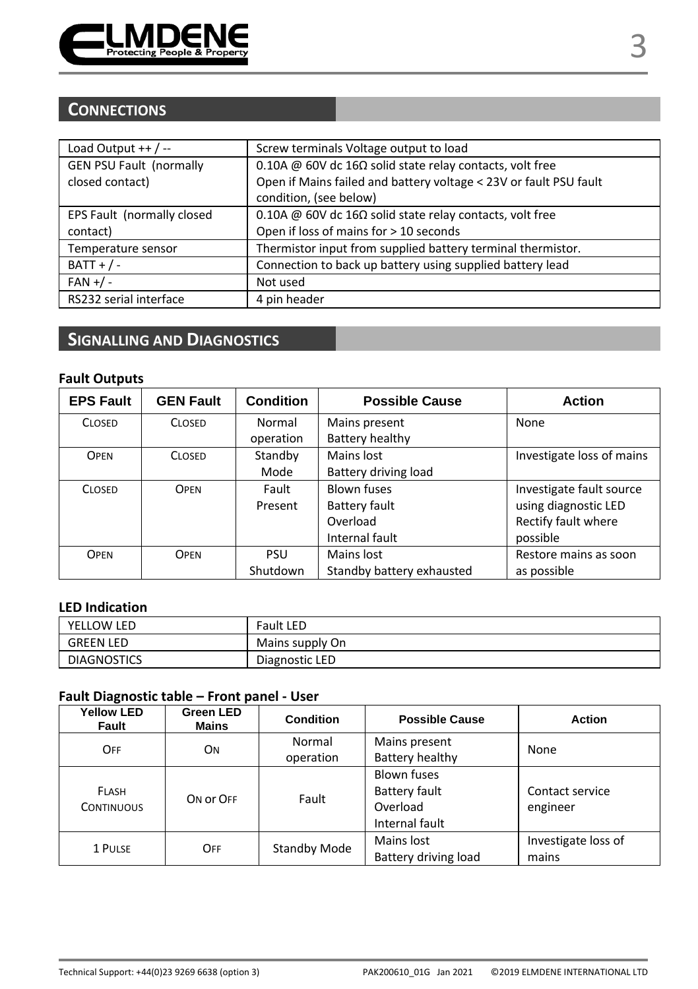

# **CONNECTIONS**

| Load Output $++/--$            | Screw terminals Voltage output to load                            |
|--------------------------------|-------------------------------------------------------------------|
| <b>GEN PSU Fault (normally</b> | 0.10A @ 60V dc 16 $\Omega$ solid state relay contacts, volt free  |
| closed contact)                | Open if Mains failed and battery voltage < 23V or fault PSU fault |
|                                | condition, (see below)                                            |
| EPS Fault (normally closed     | 0.10A @ 60V dc 16 $\Omega$ solid state relay contacts, volt free  |
| contact)                       | Open if loss of mains for > 10 seconds                            |
| Temperature sensor             | Thermistor input from supplied battery terminal thermistor.       |
| $BATT + / -$                   | Connection to back up battery using supplied battery lead         |
| $FAN + / -$                    | Not used                                                          |
| RS232 serial interface         | 4 pin header                                                      |

# **SIGNALLING AND DIAGNOSTICS**

# **Fault Outputs**

| <b>EPS Fault</b> | <b>GEN Fault</b> | <b>Condition</b> | <b>Possible Cause</b>                 | <b>Action</b>             |
|------------------|------------------|------------------|---------------------------------------|---------------------------|
| <b>CLOSED</b>    | <b>CLOSED</b>    | Normal           | Mains present                         | None                      |
|                  |                  | operation        | Battery healthy                       |                           |
| OPEN             | <b>CLOSED</b>    | Standby          | Mains lost                            | Investigate loss of mains |
|                  |                  | Mode             | Battery driving load                  |                           |
| <b>CLOSED</b>    | <b>OPEN</b>      | Fault            | <b>Blown fuses</b>                    | Investigate fault source  |
|                  |                  | Present          | using diagnostic LED<br>Battery fault |                           |
|                  |                  |                  | Rectify fault where<br>Overload       |                           |
|                  |                  |                  | Internal fault                        | possible                  |
| OPEN             | <b>OPEN</b>      | <b>PSU</b>       | Mains lost                            | Restore mains as soon     |
|                  |                  | Shutdown         | Standby battery exhausted             | as possible               |

# **LED Indication**

| YELLOW LED         | <b>Fault LED</b> |
|--------------------|------------------|
| <b>GREEN LED</b>   | Mains supply On  |
| <b>DIAGNOSTICS</b> | Diagnostic LED   |

# **Fault Diagnostic table – Front panel - User**

| <b>Yellow LED</b><br>Fault        | Green LED<br>Mains | Condition    | <b>Possible Cause</b>                                                    | <b>Action</b>                |
|-----------------------------------|--------------------|--------------|--------------------------------------------------------------------------|------------------------------|
| OFF                               | ON                 | Normal       | Mains present                                                            | None                         |
|                                   |                    | operation    | Battery healthy                                                          |                              |
| <b>FLASH</b><br><b>CONTINUOUS</b> | ON OF OFF          | Fault        | <b>Blown fuses</b><br><b>Battery fault</b><br>Overload<br>Internal fault | Contact service<br>engineer  |
| 1 PULSE                           | OFF                | Standby Mode | Mains lost<br>Battery driving load                                       | Investigate loss of<br>mains |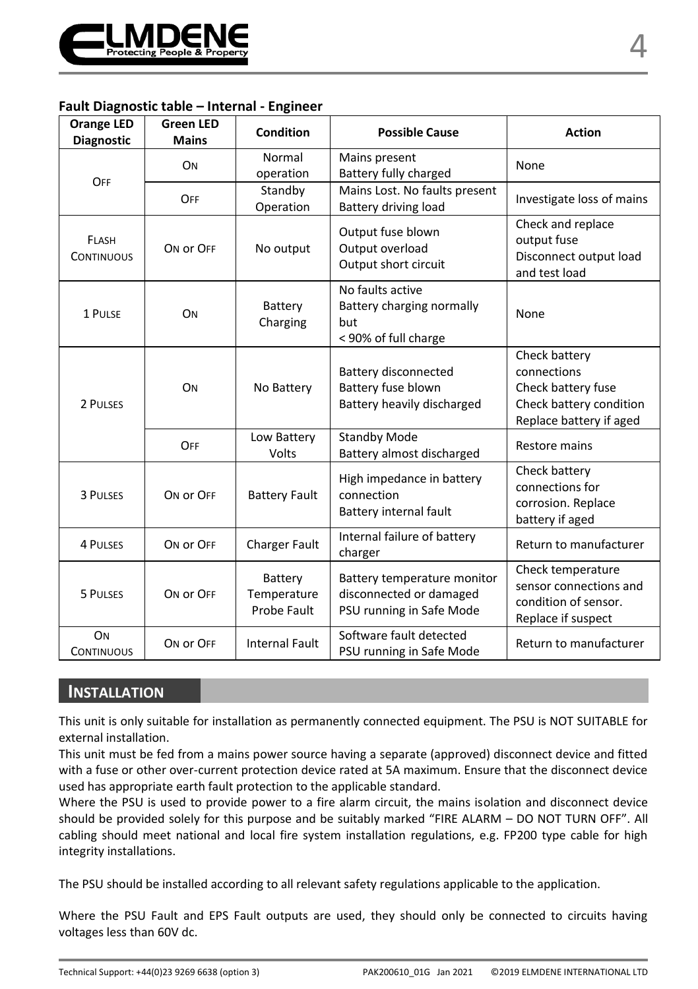

#### **Fault Diagnostic table – Internal - Engineer**

| <b>Orange LED</b><br><b>Diagnostic</b> | <b>Green LED</b><br><b>Mains</b> | Condition                             | <b>Possible Cause</b>                                                              | <b>Action</b>                                                                                            |
|----------------------------------------|----------------------------------|---------------------------------------|------------------------------------------------------------------------------------|----------------------------------------------------------------------------------------------------------|
| OFF                                    | ON                               | Normal<br>operation                   | Mains present<br>Battery fully charged                                             | None                                                                                                     |
|                                        | OFF                              | Standby<br>Operation                  | Mains Lost. No faults present<br>Battery driving load                              | Investigate loss of mains                                                                                |
| <b>FLASH</b><br><b>CONTINUOUS</b>      | ON OF OFF                        | No output                             | Output fuse blown<br>Output overload<br>Output short circuit                       | Check and replace<br>output fuse<br>Disconnect output load<br>and test load                              |
| 1 PULSE                                | ON                               | Battery<br>Charging                   | No faults active<br>Battery charging normally<br>but<br>< 90% of full charge       | None                                                                                                     |
| 2 PULSES                               | ON                               | No Battery                            | <b>Battery disconnected</b><br>Battery fuse blown<br>Battery heavily discharged    | Check battery<br>connections<br>Check battery fuse<br>Check battery condition<br>Replace battery if aged |
|                                        | OFF                              | Low Battery<br>Volts                  | <b>Standby Mode</b><br>Battery almost discharged                                   | Restore mains                                                                                            |
| 3 PULSES                               | ON OF OFF                        | <b>Battery Fault</b>                  | High impedance in battery<br>connection<br>Battery internal fault                  | Check battery<br>connections for<br>corrosion. Replace<br>battery if aged                                |
| <b>4 PULSES</b>                        | ON OF OFF                        | <b>Charger Fault</b>                  | Internal failure of battery<br>charger                                             | Return to manufacturer                                                                                   |
| 5 PULSES                               | ON OF OFF                        | Battery<br>Temperature<br>Probe Fault | Battery temperature monitor<br>disconnected or damaged<br>PSU running in Safe Mode | Check temperature<br>sensor connections and<br>condition of sensor.<br>Replace if suspect                |
| ON<br><b>CONTINUOUS</b>                | ON OF OFF                        | <b>Internal Fault</b>                 | Software fault detected<br>PSU running in Safe Mode                                | Return to manufacturer                                                                                   |

# **INSTALLATION**

This unit is only suitable for installation as permanently connected equipment. The PSU is NOT SUITABLE for external installation.

This unit must be fed from a mains power source having a separate (approved) disconnect device and fitted with a fuse or other over-current protection device rated at 5A maximum. Ensure that the disconnect device used has appropriate earth fault protection to the applicable standard.

Where the PSU is used to provide power to a fire alarm circuit, the mains isolation and disconnect device should be provided solely for this purpose and be suitably marked "FIRE ALARM – DO NOT TURN OFF". All cabling should meet national and local fire system installation regulations, e.g. FP200 type cable for high integrity installations.

The PSU should be installed according to all relevant safety regulations applicable to the application.

Where the PSU Fault and EPS Fault outputs are used, they should only be connected to circuits having voltages less than 60V dc.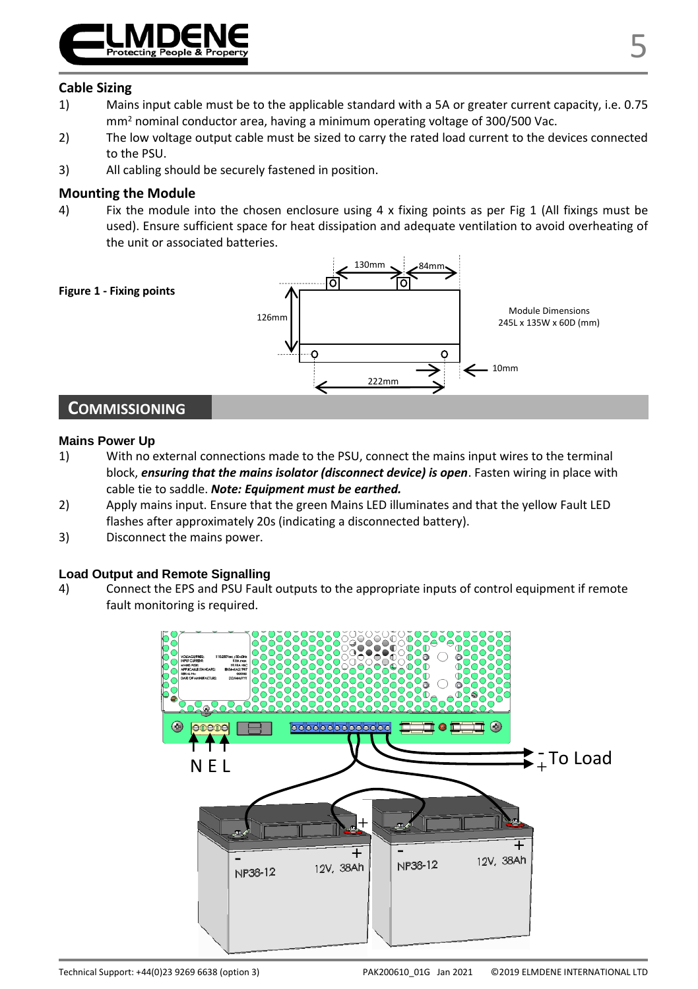

### **Cable Sizing**

- 1) Mains input cable must be to the applicable standard with a 5A or greater current capacity, i.e. 0.75 mm<sup>2</sup> nominal conductor area, having a minimum operating voltage of 300/500 Vac.
- 2) The low voltage output cable must be sized to carry the rated load current to the devices connected to the PSU.
- 3) All cabling should be securely fastened in position.

#### **Mounting the Module**

4) Fix the module into the chosen enclosure using 4 x fixing points as per Fig 1 (All fixings must be used). Ensure sufficient space for heat dissipation and adequate ventilation to avoid overheating of the unit or associated batteries.



#### **Mains Power Up**

- 1) With no external connections made to the PSU, connect the mains input wires to the terminal block, *ensuring that the mains isolator (disconnect device) is open*. Fasten wiring in place with cable tie to saddle. *Note: Equipment must be earthed.*
- 2) Apply mains input. Ensure that the green Mains LED illuminates and that the yellow Fault LED flashes after approximately 20s (indicating a disconnected battery).
- 3) Disconnect the mains power.

#### **Load Output and Remote Signalling**

4) Connect the EPS and PSU Fault outputs to the appropriate inputs of control equipment if remote fault monitoring is required.

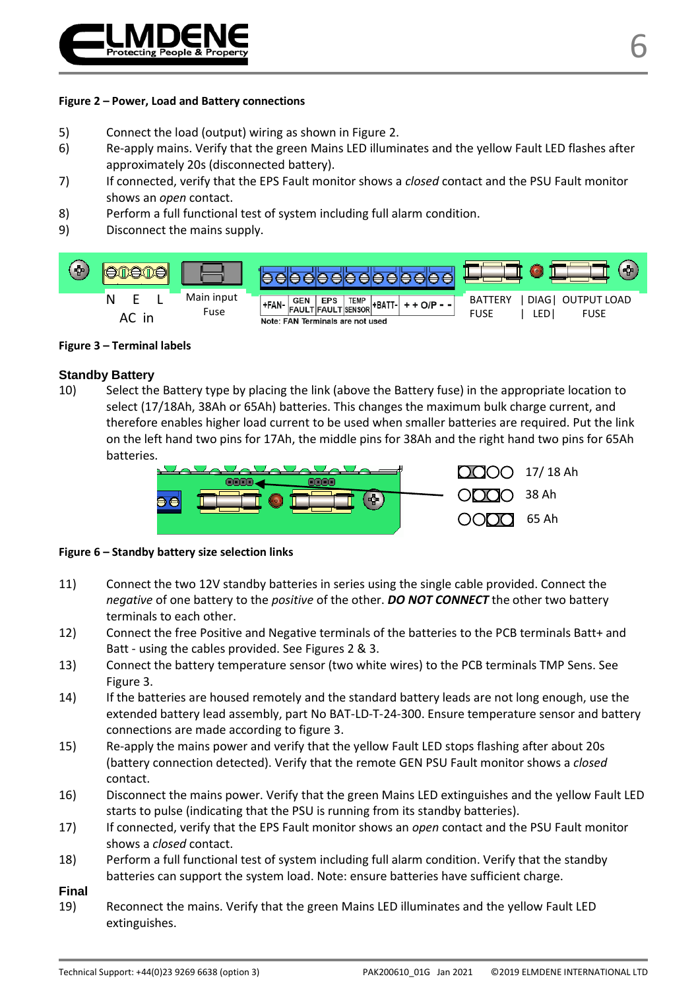

#### **Figure 2 – Power, Load and Battery connections**

- 5) Connect the load (output) wiring as shown in Figure 2.
- 6) Re-apply mains. Verify that the green Mains LED illuminates and the yellow Fault LED flashes after approximately 20s (disconnected battery).
- 7) If connected, verify that the EPS Fault monitor shows a *closed* contact and the PSU Fault monitor shows an *open* contact.
- 8) Perform a full functional test of system including full alarm condition.
- 9) Disconnect the mains supply.



#### **Figure 3 – Terminal labels**

#### **Standby Battery**

10) Select the Battery type by placing the link (above the Battery fuse) in the appropriate location to select (17/18Ah, 38Ah or 65Ah) batteries. This changes the maximum bulk charge current, and therefore enables higher load current to be used when smaller batteries are required. Put the link on the left hand two pins for 17Ah, the middle pins for 38Ah and the right hand two pins for 65Ah batteries.



#### **Figure 6 – Standby battery size selection links**

- 11) Connect the two 12V standby batteries in series using the single cable provided. Connect the *negative* of one battery to the *positive* of the other. *DO NOT CONNECT* the other two battery terminals to each other.
- 12) Connect the free Positive and Negative terminals of the batteries to the PCB terminals Batt+ and Batt - using the cables provided. See Figures 2 & 3.
- 13) Connect the battery temperature sensor (two white wires) to the PCB terminals TMP Sens. See Figure 3.
- 14) If the batteries are housed remotely and the standard battery leads are not long enough, use the extended battery lead assembly, part No BAT-LD-T-24-300. Ensure temperature sensor and battery connections are made according to figure 3.
- 15) Re-apply the mains power and verify that the yellow Fault LED stops flashing after about 20s (battery connection detected). Verify that the remote GEN PSU Fault monitor shows a *closed* contact.
- 16) Disconnect the mains power. Verify that the green Mains LED extinguishes and the yellow Fault LED starts to pulse (indicating that the PSU is running from its standby batteries).
- 17) If connected, verify that the EPS Fault monitor shows an *open* contact and the PSU Fault monitor shows a *closed* contact.
- 18) Perform a full functional test of system including full alarm condition. Verify that the standby batteries can support the system load. Note: ensure batteries have sufficient charge.

#### **Final**

19) Reconnect the mains. Verify that the green Mains LED illuminates and the yellow Fault LED extinguishes.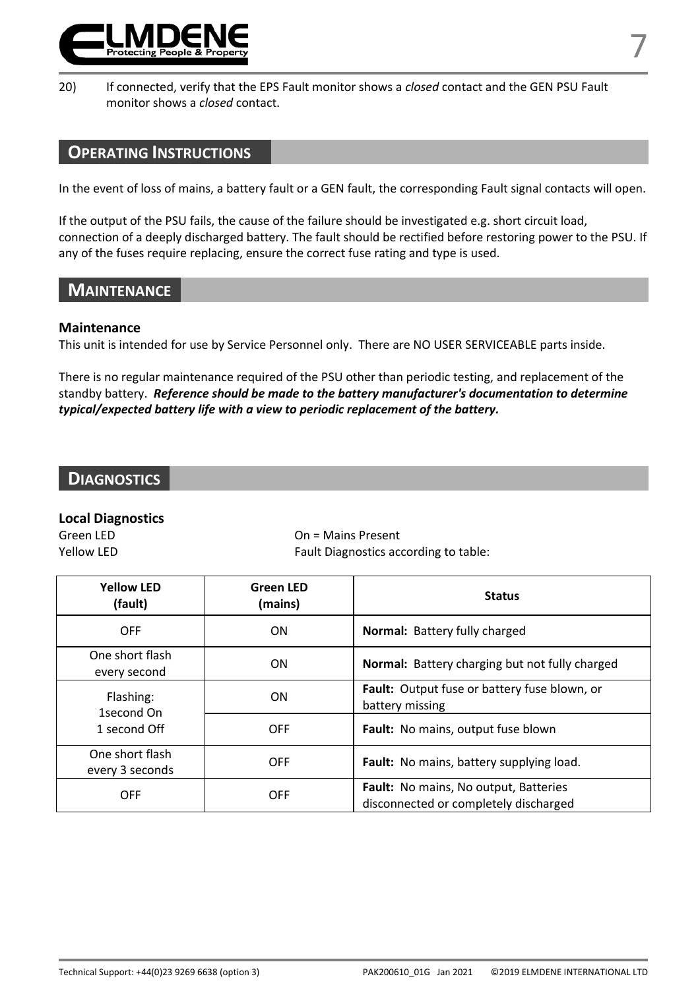

20) If connected, verify that the EPS Fault monitor shows a *closed* contact and the GEN PSU Fault monitor shows a *closed* contact.

# **OPERATING INSTRUCTIONS**

In the event of loss of mains, a battery fault or a GEN fault, the corresponding Fault signal contacts will open.

If the output of the PSU fails, the cause of the failure should be investigated e.g. short circuit load, connection of a deeply discharged battery. The fault should be rectified before restoring power to the PSU. If any of the fuses require replacing, ensure the correct fuse rating and type is used.

# **MAINTENANCE**

#### **Maintenance**

This unit is intended for use by Service Personnel only. There are NO USER SERVICEABLE parts inside.

There is no regular maintenance required of the PSU other than periodic testing, and replacement of the standby battery. *Reference should be made to the battery manufacturer's documentation to determine typical/expected battery life with a view to periodic replacement of the battery.* 

# **DIAGNOSTICS**

# **Local Diagnostics**

 $On =$  Mains Present Yellow LED **Fault Diagnostics according to table:** 

| <b>Yellow LED</b><br>(fault)            | <b>Green LED</b><br>(mains) | <b>Status</b>                                                                  |  |
|-----------------------------------------|-----------------------------|--------------------------------------------------------------------------------|--|
| OFF                                     | ON                          | <b>Normal:</b> Battery fully charged                                           |  |
| One short flash<br>every second         | ON                          | <b>Normal:</b> Battery charging but not fully charged                          |  |
| Flashing:<br>1second On<br>1 second Off | ON                          | <b>Fault:</b> Output fuse or battery fuse blown, or<br>battery missing         |  |
|                                         | <b>OFF</b>                  | Fault: No mains, output fuse blown                                             |  |
| One short flash<br>every 3 seconds      | <b>OFF</b>                  | Fault: No mains, battery supplying load.                                       |  |
| OFF                                     | OFF                         | Fault: No mains, No output, Batteries<br>disconnected or completely discharged |  |